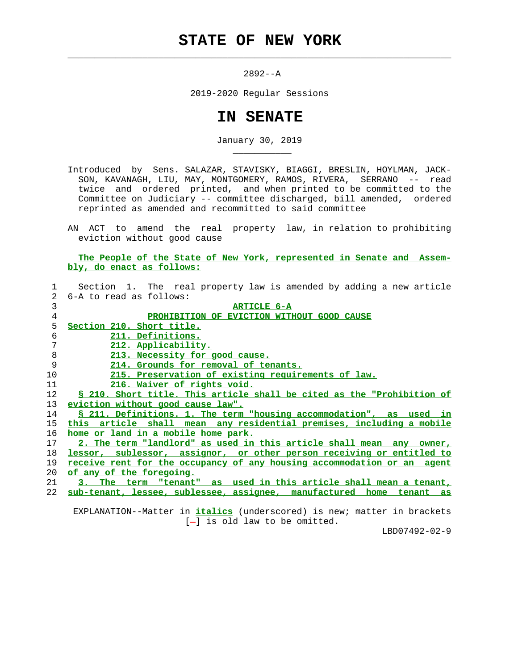## **STATE OF NEW YORK**

 $\mathcal{L}_\text{max} = \frac{1}{2} \sum_{i=1}^{n} \frac{1}{2} \sum_{i=1}^{n} \frac{1}{2} \sum_{i=1}^{n} \frac{1}{2} \sum_{i=1}^{n} \frac{1}{2} \sum_{i=1}^{n} \frac{1}{2} \sum_{i=1}^{n} \frac{1}{2} \sum_{i=1}^{n} \frac{1}{2} \sum_{i=1}^{n} \frac{1}{2} \sum_{i=1}^{n} \frac{1}{2} \sum_{i=1}^{n} \frac{1}{2} \sum_{i=1}^{n} \frac{1}{2} \sum_{i=1}^{n} \frac{1$ 

\_\_\_\_\_\_\_\_\_\_\_

2892--A

2019-2020 Regular Sessions

## **IN SENATE**

January 30, 2019

 Introduced by Sens. SALAZAR, STAVISKY, BIAGGI, BRESLIN, HOYLMAN, JACK- SON, KAVANAGH, LIU, MAY, MONTGOMERY, RAMOS, RIVERA, SERRANO -- read twice and ordered printed, and when printed to be committed to the Committee on Judiciary -- committee discharged, bill amended, ordered reprinted as amended and recommitted to said committee

 AN ACT to amend the real property law, in relation to prohibiting eviction without good cause

 **The People of the State of New York, represented in Senate and Assem bly, do enact as follows:**

| 1               | Section 1. The real property law is amended by adding a new article        |
|-----------------|----------------------------------------------------------------------------|
| $2^{\circ}$     | 6-A to read as follows:                                                    |
| 3               | <b>ARTICLE 6-A</b>                                                         |
| $\overline{4}$  | PROHIBITION OF EVICTION WITHOUT GOOD CAUSE                                 |
| 5               | Section 210. Short title.                                                  |
| 6               | 211. Definitions.                                                          |
| 7               | 212. Applicability.                                                        |
| 8               | 213. Necessity for good cause.                                             |
| 9               | 214. Grounds for removal of tenants.                                       |
| 10              | 215. Preservation of existing requirements of law.                         |
| 11              | 216. Waiver of rights void.                                                |
| 12 <sup>°</sup> | § 210. Short title. This article shall be cited as the "Prohibition of     |
| 13              | eviction without good cause law".                                          |
| 14              | <u>S 211. Definitions. 1. The term "housing accommodation", as used in</u> |
| 15              | this article shall mean any residential premises, including a mobile       |
| 16              | home or land in a mobile home park.                                        |
| 17              | 2. The term "landlord" as used in this article shall mean any owner,       |
| 18              | lessor, sublessor, assignor, or other person receiving or entitled to      |
| 19              | receive rent for the occupancy of any housing accommodation or an agent    |
| 20              | of any of the foregoing.                                                   |
| 21              | 3. The term "tenant" as used in this article shall mean a tenant,          |
| 22              | sub-tenant, lessee, sublessee, assignee, manufactured home tenant as       |
|                 |                                                                            |

 EXPLANATION--Matter in **italics** (underscored) is new; matter in brackets  $[-]$  is old law to be omitted.

LBD07492-02-9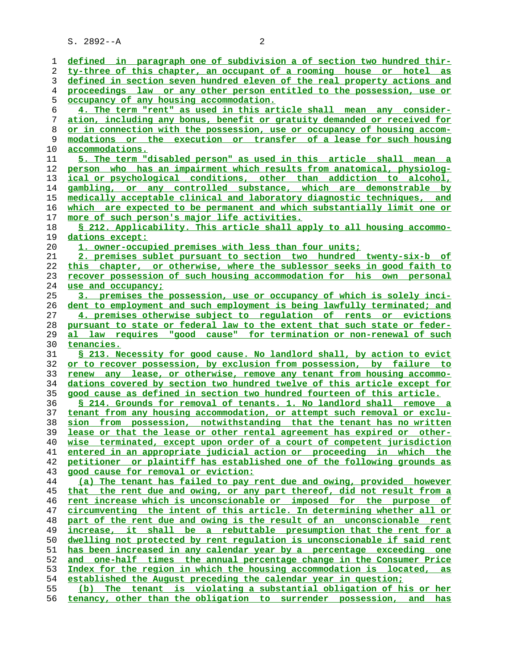S. 2892--A 2

**defined in paragraph one of subdivision a of section two hundred thir- ty-three of this chapter, an occupant of a rooming house or hotel as defined in section seven hundred eleven of the real property actions and proceedings law or any other person entitled to the possession, use or occupancy of any housing accommodation. 4. The term "rent" as used in this article shall mean any consider- ation, including any bonus, benefit or gratuity demanded or received for or in connection with the possession, use or occupancy of housing accom- modations or the execution or transfer of a lease for such housing accommodations. 5. The term "disabled person" as used in this article shall mean a person who has an impairment which results from anatomical, physiolog- ical or psychological conditions, other than addiction to alcohol, gambling, or any controlled substance, which are demonstrable by medically acceptable clinical and laboratory diagnostic techniques, and which are expected to be permanent and which substantially limit one or more of such person's major life activities. § 212. Applicability. This article shall apply to all housing accommo- dations except: 1. owner-occupied premises with less than four units; 2. premises sublet pursuant to section two hundred twenty-six-b of this chapter, or otherwise, where the sublessor seeks in good faith to recover possession of such housing accommodation for his own personal use and occupancy; 3. premises the possession, use or occupancy of which is solely inci- dent to employment and such employment is being lawfully terminated; and 4. premises otherwise subject to regulation of rents or evictions pursuant to state or federal law to the extent that such state or feder- al law requires "good cause" for termination or non-renewal of such tenancies. § 213. Necessity for good cause. No landlord shall, by action to evict or to recover possession, by exclusion from possession, by failure to renew any lease, or otherwise, remove any tenant from housing accommo- dations covered by section two hundred twelve of this article except for good cause as defined in section two hundred fourteen of this article. § 214. Grounds for removal of tenants. 1. No landlord shall remove a tenant from any housing accommodation, or attempt such removal or exclu- sion from possession, notwithstanding that the tenant has no written lease or that the lease or other rental agreement has expired or other- wise terminated, except upon order of a court of competent jurisdiction entered in an appropriate judicial action or proceeding in which the petitioner or plaintiff has established one of the following grounds as good cause for removal or eviction: (a) The tenant has failed to pay rent due and owing, provided however that the rent due and owing, or any part thereof, did not result from a rent increase which is unconscionable or imposed for the purpose of circumventing the intent of this article. In determining whether all or part of the rent due and owing is the result of an unconscionable rent increase, it shall be a rebuttable presumption that the rent for a dwelling not protected by rent regulation is unconscionable if said rent has been increased in any calendar year by a percentage exceeding one and one-half times the annual percentage change in the Consumer Price Index for the region in which the housing accommodation is located, as established the August preceding the calendar year in question; (b) The tenant is violating a substantial obligation of his or her tenancy, other than the obligation to surrender possession, and has**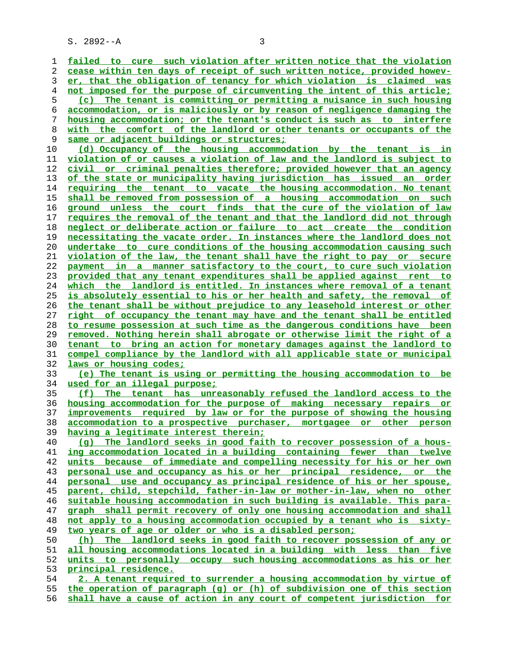S. 2892--A 3

**failed to cure such violation after written notice that the violation cease within ten days of receipt of such written notice, provided howev- er, that the obligation of tenancy for which violation is claimed was not imposed for the purpose of circumventing the intent of this article; (c) The tenant is committing\_or permitting a nuisance in such housing accommodation, or is maliciously or by reason of negligence damaging the housing accommodation; or the tenant's conduct is such as to interfere with the comfort of the landlord or other tenants or occupants of the same or adjacent buildings or structures; (d) Occupancy of the housing accommodation by the tenant is in violation of or causes a violation of law and the landlord is subject to civil or criminal penalties therefore; provided however that an agency of the state or municipality having jurisdiction has issued an order requiring the tenant to vacate the housing accommodation. No tenant shall be removed from possession of a housing accommodation on such ground unless the court finds that the cure of the violation of law requires the removal of the tenant and that the landlord did not through neglect or deliberate action or failure to act create the condition necessitating the vacate order. In instances where the landlord does not undertake to cure conditions of the housing accommodation causing such violation of the law, the tenant shall have the right to pay or secure payment in a manner satisfactory to the court, to cure such violation provided that any tenant expenditures shall be applied against rent to which the landlord is entitled. In instances where removal of a tenant is absolutely essential to his or her health and safety, the removal of the tenant shall be without prejudice to any leasehold interest or other right of occupancy the tenant may have and the tenant shall be entitled to resume possession at such time as the dangerous conditions have been removed. Nothing herein shall abrogate or otherwise limit the right of a tenant to bring an action for monetary damages against the landlord to compel compliance by the landlord with all applicable state or municipal laws or housing codes; (e) The tenant is using or permitting the housing accommodation to be used for an illegal purpose; (f) The tenant has unreasonably refused the landlord access to the housing accommodation for the purpose of making necessary repairs or improvements required by law or for the purpose of showing the housing accommodation to a prospective purchaser, mortgagee or other person having a legitimate interest therein; (g) The landlord seeks in good faith to recover possession of a hous- ing accommodation located in a building containing fewer than twelve units because of immediate and compelling necessity for his or her own personal use and occupancy as his or her principal residence, or the personal use and occupancy as principal residence of his or her spouse, parent, child, stepchild, father-in-law or mother-in-law, when no other suitable housing accommodation in such building is available. This para- graph shall permit recovery of only one housing accommodation and shall not apply to a housing accommodation occupied by a tenant who is sixty- two years of age or older or who is a disabled person; (h) The landlord seeks in good faith to recover possession of any or all housing accommodations located in a building with less than five units to personally occupy such housing accommodations as his or her principal residence. 2. A tenant required to surrender a housing accommodation by virtue of the operation of paragraph (g) or (h) of subdivision one of this section**

**shall have a cause of action in any court of competent jurisdiction for**